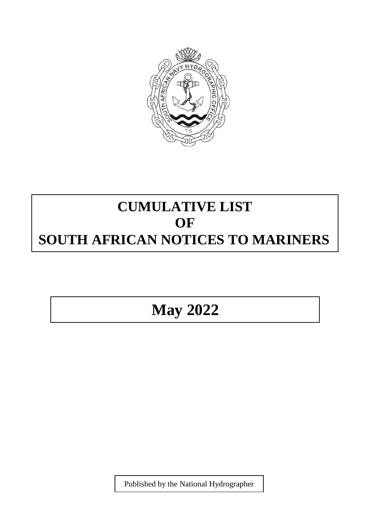

## **CUMULATIVE LIST OF SOUTH AFRICAN NOTICES TO MARINERS**

## **May 2022**

Published by the National Hydrographer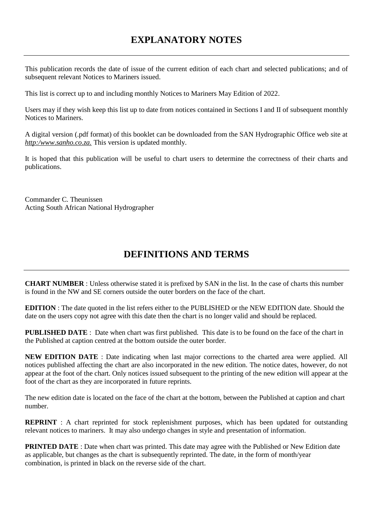## **EXPLANATORY NOTES**

This publication records the date of issue of the current edition of each chart and selected publications; and of subsequent relevant Notices to Mariners issued.

This list is correct up to and including monthly Notices to Mariners May Edition of 2022.

Users may if they wish keep this list up to date from notices contained in Sections I and II of subsequent monthly Notices to Mariners.

A digital version (.pdf format) of this booklet can be downloaded from the SAN Hydrographic Office web site at *http:/www.sanho.co.za.* This version is updated monthly.

It is hoped that this publication will be useful to chart users to determine the correctness of their charts and publications.

Commander C. Theunissen Acting South African National Hydrographer

## **DEFINITIONS AND TERMS**

**CHART NUMBER** : Unless otherwise stated it is prefixed by SAN in the list. In the case of charts this number is found in the NW and SE corners outside the outer borders on the face of the chart.

**EDITION** : The date quoted in the list refers either to the PUBLISHED or the NEW EDITION date. Should the date on the users copy not agree with this date then the chart is no longer valid and should be replaced.

**PUBLISHED DATE** : Date when chart was first published. This date is to be found on the face of the chart in the Published at caption centred at the bottom outside the outer border.

**NEW EDITION DATE** : Date indicating when last major corrections to the charted area were applied. All notices published affecting the chart are also incorporated in the new edition. The notice dates, however, do not appear at the foot of the chart. Only notices issued subsequent to the printing of the new edition will appear at the foot of the chart as they are incorporated in future reprints.

The new edition date is located on the face of the chart at the bottom, between the Published at caption and chart number.

**REPRINT** : A chart reprinted for stock replenishment purposes, which has been updated for outstanding relevant notices to mariners. It may also undergo changes in style and presentation of information.

**PRINTED DATE** : Date when chart was printed. This date may agree with the Published or New Edition date as applicable, but changes as the chart is subsequently reprinted. The date, in the form of month/year combination, is printed in black on the reverse side of the chart.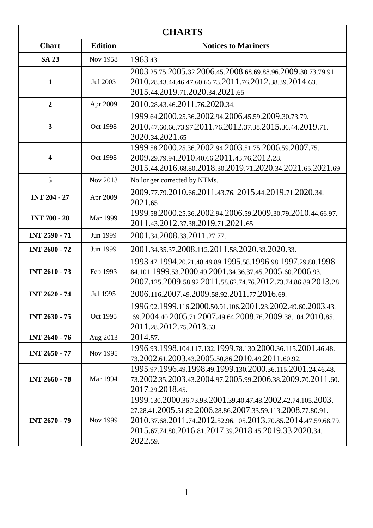| <b>CHARTS</b>           |                 |                                                                                                                                                                                                                                                                      |
|-------------------------|-----------------|----------------------------------------------------------------------------------------------------------------------------------------------------------------------------------------------------------------------------------------------------------------------|
| <b>Chart</b>            | <b>Edition</b>  | <b>Notices to Mariners</b>                                                                                                                                                                                                                                           |
| <b>SA 23</b>            | Nov 1958        | 1963.43.                                                                                                                                                                                                                                                             |
| $\mathbf{1}$            | Jul 2003        | 2003.25.75.2005.32.2006.45.2008.68.69.88.96.2009.30.73.79.91.<br>2010.28.43.44.46.47.60.66.73.2011.76.2012.38.39.2014.63.<br>2015.44.2019.71.2020.34.2021.65                                                                                                         |
| $\overline{2}$          | Apr 2009        | 2010.28.43.46.2011.76.2020.34.                                                                                                                                                                                                                                       |
| 3                       | Oct 1998        | 1999.64.2000.25.36.2002.94.2006.45.59.2009.30.73.79.<br>2010.47.60.66.73.97.2011.76.2012.37.38.2015.36.44.2019.71.<br>2020.34.2021.65                                                                                                                                |
| $\overline{\mathbf{4}}$ | Oct 1998        | 1999.58.2000.25.36.2002.94.2003.51.75.2006.59.2007.75.<br>2009.29.79.94.2010.40.66.2011.43.76.2012.28.<br>2015.44.2016.68.80.2018.30.2019.71.2020.34.2021.65.2021.69                                                                                                 |
| 5                       | Nov 2013        | No longer corrected by NTMs.                                                                                                                                                                                                                                         |
| <b>INT 204 - 27</b>     | Apr 2009        | 2009.77.79.2010.66.2011.43.76. 2015.44.2019.71.2020.34.<br>2021.65                                                                                                                                                                                                   |
| <b>INT 700 - 28</b>     | <b>Mar 1999</b> | 1999.58.2000.25.36.2002.94.2006.59.2009.30.79.2010.44.66.97.<br>2011.43.2012.37.38.2019.71.2021.65                                                                                                                                                                   |
| <b>INT 2590 - 71</b>    | Jun 1999        | 2001.34.2008.33.2011.27.77.                                                                                                                                                                                                                                          |
| <b>INT 2600 - 72</b>    | Jun 1999        | 2001.34.35.37.2008.112.2011.58.2020.33.2020.33.                                                                                                                                                                                                                      |
| <b>INT 2610 - 73</b>    | Feb 1993        | 1993.47.1994.20.21.48.49.89.1995.58.1996.98.1997.29.80.1998.<br>84.101.1999.53.2000.49.2001.34.36.37.45.2005.60.2006.93.<br>2007.125.2009.58.92.2011.58.62.74.76.2012.73.74.86.89.2013.28                                                                            |
| <b>INT 2620 - 74</b>    | Jul 1995        | 2006.116.2007.49.2009.58.92.2011.77.2016.69.                                                                                                                                                                                                                         |
| <b>INT 2630 - 75</b>    | Oct 1995        | 1996.92.1999.116.2000.50.91.106.2001.23.2002.49.60.2003.43.<br>69.2004.40.2005.71.2007.49.64.2008.76.2009.38.104.2010.85.<br>2011.28.2012.75.2013.53.                                                                                                                |
| <b>INT 2640 - 76</b>    | Aug 2013        | 2014.57.                                                                                                                                                                                                                                                             |
| <b>INT 2650 - 77</b>    | Nov 1995        | 1996.93.1998.104.117.132.1999.78.130.2000.36.115.2001.46.48.<br>73.2002.61.2003.43.2005.50.86.2010.49.2011.60.92.                                                                                                                                                    |
| <b>INT 2660 - 78</b>    | Mar 1994        | 1995.97.1996.49.1998.49.1999.130.2000.36.115.2001.24.46.48.<br>73.2002.35.2003.43.2004.97.2005.99.2006.38.2009.70.2011.60.<br>2017.29.2018.45.                                                                                                                       |
| <b>INT 2670 - 79</b>    | Nov 1999        | 1999.130.2000.36.73.93.2001.39.40.47.48.2002.42.74.105.2003.<br>27.28.41.2005.51.82.2006.28.86.2007.33.59.113.2008.77.80.91.<br>2010.37.68.2011.74.2012.52.96.105.2013.70.85.2014.47.59.68.79.<br>2015.67.74.80.2016.81.2017.39.2018.45.2019.33.2020.34.<br>2022.59. |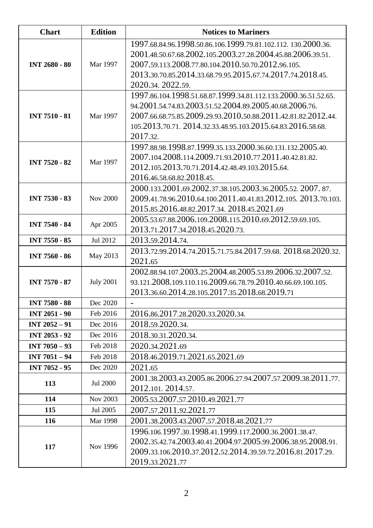| <b>Chart</b>         | <b>Edition</b>   | <b>Notices to Mariners</b>                                     |
|----------------------|------------------|----------------------------------------------------------------|
| <b>INT 2680 - 80</b> |                  | 1997.68.84.96.1998.50.86.106.1999.79.81.102.112.130.2000.36.   |
|                      |                  | 2001.48.50.67.68.2002.105.2003.27.28.2004.45.88.2006.39.51.    |
|                      | Mar 1997         | 2007.59.113.2008.77.80.104.2010.50.70.2012.96.105.             |
|                      |                  | 2013.30.70.85.2014.33.68.79.95.2015.67.74.2017.74.2018.45.     |
|                      |                  | 2020.34. 2022.59.                                              |
|                      |                  | 1997.86.104.1998.51.68.87.1999.34.81.112.133.2000.36.51.52.65. |
|                      |                  | 94.2001.54.74.83.2003.51.52.2004.89.2005.40.68.2006.76.        |
| <b>INT 7510 - 81</b> | Mar 1997         | 2007.66.68.75.85.2009.29.93.2010.50.88.2011.42.81.82.2012.44.  |
|                      |                  | 105.2013.70.71. 2014.32.33.48.95.103.2015.64.83.2016.58.68.    |
|                      |                  | 2017.32.                                                       |
|                      |                  | 1997.88.98.1998.87.1999.35.133.2000.36.60.131.132.2005.40.     |
| <b>INT 7520 - 82</b> | Mar 1997         | 2007.104.2008.114.2009.71.93.2010.77.2011.40.42.81.82.         |
|                      |                  | 2012.105.2013.70.71.2014.42.48.49.103.2015.64.                 |
|                      |                  | 2016.46.58.68.82.2018.45.                                      |
|                      |                  | 2000.133.2001.69.2002.37.38.105.2003.36.2005.52.2007.87.       |
| <b>INT 7530 - 83</b> | <b>Nov 2000</b>  | 2009.41.78.96.2010.64.100.2011.40.41.83.2012.105. 2013.70.103. |
|                      |                  | 2015.85.2016.48.82.2017.34. 2018.45.2021.69                    |
| <b>INT 7540 - 84</b> | Apr 2005         | 2005.53.67.88.2006.109.2008.115.2010.69.2012.59.69.105.        |
|                      |                  | 2013.71.2017.34.2018.45.2020.73.                               |
| <b>INT 7550 - 85</b> | Jul 2012         | 2013.59.2014.74.                                               |
| <b>INT 7560 - 86</b> | May 2013         | 2013.72.99.2014.74.2015.71.75.84.2017.59.68. 2018.68.2020.32.  |
|                      |                  | 2021.65                                                        |
|                      |                  | 2002.88.94.107.2003.25.2004.48.2005.53.89.2006.32.2007.52.     |
| <b>INT 7570 - 87</b> | <b>July 2001</b> | 93.121.2008.109.110.116.2009.66.78.79.2010.40.66.69.100.105.   |
|                      |                  | 2013.36.60.2014.28.105.2017.35.2018.68.2019.71                 |
| <b>INT 7580 - 88</b> | Dec 2020         |                                                                |
| <b>INT 2051 - 90</b> | Feb 2016         | 2016.86.2017.28.2020.33.2020.34.                               |
| <b>INT 2052 - 91</b> | Dec 2016         | 2018.59.2020.34.                                               |
| <b>INT 2053 - 92</b> | Dec 2016         | 2018.30.31.2020.34.                                            |
| INT 7050 - 93        | Feb 2018         | 2020.34.2021.69                                                |
| INT 7051 - 94        | Feb 2018         | 2018.46.2019.71.2021.65.2021.69                                |
| <b>INT 7052 - 95</b> | Dec 2020         | 2021.65                                                        |
|                      | <b>Jul 2000</b>  | 2001.38.2003.43.2005.86.2006.27.94.2007.57.2009.38.2011.77.    |
| 113                  |                  | 2012.101. 2014.57.                                             |
| 114                  | Nov 2003         | 2005.53.2007.57.2010.49.2021.77                                |
| 115                  | Jul 2005         | 2007.57.2011.92.2021.77                                        |
| 116                  | Mar 1998         | 2001.38.2003.43.2007.57.2018.48.2021.77                        |
|                      |                  | 1996.106.1997.30.1998.41.1999.117.2000.36.2001.38.47.          |
| 117                  | Nov 1996         | 2002.35.42.74.2003.40.41.2004.97.2005.99.2006.38.95.2008.91.   |
|                      |                  | 2009.33.106.2010.37.2012.52.2014.39.59.72.2016.81.2017.29.     |
|                      |                  | 2019.33.2021.77                                                |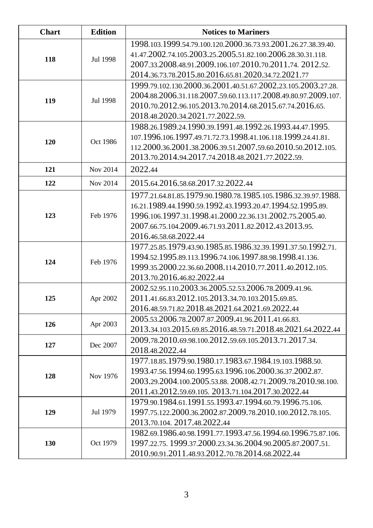| Chart | <b>Edition</b> | <b>Notices to Mariners</b>                                     |
|-------|----------------|----------------------------------------------------------------|
| 118   | Jul 1998       | 1998.103.1999.54.79.100.120.2000.36.73.93.2001.26.27.38.39.40. |
|       |                | 41.47.2002.74.105.2003.25.2005.51.82.100.2006.28.30.31.118.    |
|       |                | 2007.33.2008.48.91.2009.106.107.2010.70.2011.74. 2012.52.      |
|       |                | 2014.36.73.78.2015.80.2016.65.81.2020.34.72.2021.77            |
|       |                | 1999.79.102.130.2000.36.2001.40.51.67.2002.23.105.2003.27.28.  |
| 119   | Jul 1998       | 2004.88.2006.31.118.2007.59.60.113.117.2008.49.80.97.2009.107. |
|       |                | 2010.70.2012.96.105.2013.70.2014.68.2015.67.74.2016.65.        |
|       |                | 2018.48.2020.34.2021.77.2022.59.                               |
|       |                | 1988.26.1989.24.1990.39.1991.48.1992.26.1993.44.47.1995.       |
| 120   | Oct 1986       | 107.1996.106.1997.49.71.72.73.1998.41.106.118.1999.24.41.81.   |
|       |                | 112.2000.36.2001.38.2006.39.51.2007.59.60.2010.50.2012.105.    |
|       |                | 2013.70.2014.94.2017.74.2018.48.2021.77.2022.59.               |
| 121   | Nov 2014       | 2022.44                                                        |
| 122   | Nov 2014       | 2015.64.2016.58.68.2017.32.2022.44                             |
|       |                | 1977.21.64.81.85.1979.90.1980.78.1985.105.1986.32.39.97.1988.  |
|       |                | 16.21.1989.44.1990.59.1992.43.1993.20.47.1994.52.1995.89.      |
| 123   | Feb 1976       | 1996.106.1997.31.1998.41.2000.22.36.131.2002.75.2005.40.       |
|       |                | 2007.66.75.104.2009.46.71.93.2011.82.2012.43.2013.95.          |
|       |                | 2016.46.58.68.2022.44                                          |
|       |                | 1977.25.85.1979.43.90.1985.85.1986.32.39.1991.37.50.1992.71.   |
| 124   | Feb 1976       | 1994.52.1995.89.113.1996.74.106.1997.88.98.1998.41.136.        |
|       |                | 1999.35.2000.22.36.60.2008.114.2010.77.2011.40.2012.105.       |
|       |                | 2013.70.2016.46.82.2022.44                                     |
|       |                | 2002.52.95.110.2003.36.2005.52.53.2006.78.2009.41.96.          |
| 125   | Apr 2002       | 2011.41.66.83.2012.105.2013.34.70.103.2015.69.85.              |
|       |                | 2016.48.59.71.82.2018.48.2021.64.2021.69.2022.44               |
| 126   | Apr 2003       | 2005.53.2006.78.2007.87.2009.41.96.2011.41.66.83.              |
|       |                | 2013.34.103.2015.69.85.2016.48.59.71.2018.48.2021.64.2022.44   |
| 127   | Dec 2007       | 2009.78.2010.69.98.100.2012.59.69.105.2013.71.2017.34.         |
|       |                | 2018.48.2022.44                                                |
|       |                | 1977.18.85.1979.90.1980.17.1983.67.1984.19.103.1988.50.        |
| 128   | Nov 1976       | 1993.47.56.1994.60.1995.63.1996.106.2000.36.37.2002.87.        |
|       |                | 2003.29.2004.100.2005.53.88. 2008.42.71.2009.78.2010.98.100.   |
|       |                | 2011.43.2012.59.69.105. 2013.71.104.2017.30.2022.44            |
| 129   | Jul 1979       | 1979.90.1984.61.1991.55.1993.47.1994.60.79.1996.75.106.        |
|       |                | 1997.75.122.2000.36.2002.87.2009.78.2010.100.2012.78.105.      |
|       |                | 2013.70.104. 2017.48.2022.44                                   |
|       |                | 1982.69.1986.40.98.1991.77.1993.47.56.1994.60.1996.75.87.106.  |
| 130   | Oct 1979       | 1997.22.75. 1999.37.2000.23.34.36.2004.90.2005.87.2007.51.     |
|       |                | 2010.90.91.2011.48.93.2012.70.78.2014.68.2022.44               |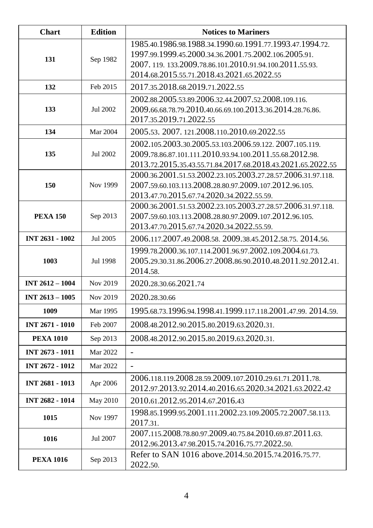| <b>Chart</b>           | <b>Edition</b> | <b>Notices to Mariners</b>                                                                                                                                                                                               |
|------------------------|----------------|--------------------------------------------------------------------------------------------------------------------------------------------------------------------------------------------------------------------------|
| 131                    | Sep 1982       | 1985.40.1986.98.1988.34.1990.60.1991.77.1993.47.1994.72.<br>1997.99.1999.45.2000.34.36.2001.75.2002.106.2005.91.<br>2007.119.133.2009.78.86.101.2010.91.94.100.2011.55.93.<br>2014.68.2015.55.71.2018.43.2021.65.2022.55 |
| 132                    | Feb 2015       | 2017.35.2018.68.2019.71.2022.55                                                                                                                                                                                          |
| 133                    | Jul 2002       | 2002.88.2005.53.89.2006.32.44.2007.52.2008.109.116.<br>2009.66.68.78.79.2010.40.66.69.100.2013.36.2014.28.76.86.<br>2017.35.2019.71.2022.55                                                                              |
| 134                    | Mar 2004       | 2005.53. 2007. 121.2008.110.2010.69.2022.55                                                                                                                                                                              |
| 135                    | Jul 2002       | 2002.105.2003.30.2005.53.103.2006.59.122. 2007.105.119.<br>2009.78.86.87.101.111.2010.93.94.100.2011.55.68.2012.98.<br>2013.72.2015.35.43.55.71.84.2017.68.2018.43.2021.65.2022.55                                       |
| 150                    | Nov 1999       | 2000.36.2001.51.53.2002.23.105.2003.27.28.57.2006.31.97.118.<br>2007.59.60.103.113.2008.28.80.97.2009.107.2012.96.105.<br>2013.47.70.2015.67.74.2020.34.2022.55.59.                                                      |
| <b>PEXA 150</b>        | Sep 2013       | 2000.36.2001.51.53.2002.23.105.2003.27.28.57.2006.31.97.118.<br>2007.59.60.103.113.2008.28.80.97.2009.107.2012.96.105.<br>2013.47.70.2015.67.74.2020.34.2022.55.59.                                                      |
| <b>INT 2631 - 1002</b> | Jul 2005       | 2006.117.2007.49.2008.58. 2009.38.45.2012.58.75. 2014.56.                                                                                                                                                                |
| 1003                   | Jul 1998       | 1999.78.2000.36.107.114.2001.96.97.2002.109.2004.61.73.<br>2005.29.30.31.86.2006.27.2008.86.90.2010.48.2011.92.2012.41.<br>2014.58.                                                                                      |
| <b>INT 2612 - 1004</b> | Nov 2019       | 2020.28.30.66.2021.74                                                                                                                                                                                                    |
| INT 2613 - 1005        | Nov 2019       | 2020.28.30.66                                                                                                                                                                                                            |
| 1009                   | Mar 1995       | 1995.68.73.1996.94.1998.41.1999.117.118.2001.47.99. 2014.59.                                                                                                                                                             |
| INT 2671 - 1010        | Feb 2007       | 2008.48.2012.90.2015.80.2019.63.2020.31.                                                                                                                                                                                 |
| <b>PEXA 1010</b>       | Sep 2013       | 2008.48.2012.90.2015.80.2019.63.2020.31.                                                                                                                                                                                 |
| INT 2673 - 1011        | Mar 2022       | $\overline{a}$                                                                                                                                                                                                           |
| INT 2672 - 1012        | Mar 2022       |                                                                                                                                                                                                                          |
| <b>INT 2681 - 1013</b> | Apr 2006       | 2006.118.119.2008.28.59.2009.107.2010.29.61.71.2011.78.<br>2012.97.2013.92.2014.40.2016.65.2020.34.2021.63.2022.42                                                                                                       |
| INT 2682 - 1014        | May 2010       | 2010.61.2012.95.2014.67.2016.43                                                                                                                                                                                          |
| 1015                   | Nov 1997       | 1998.85.1999.95.2001.111.2002.23.109.2005.72.2007.58.113.<br>2017.31.                                                                                                                                                    |
| 1016                   | Jul 2007       | 2007.115.2008.78.80.97.2009.40.75.84.2010.69.87.2011.63.<br>2012.96.2013.47.98.2015.74.2016.75.77.2022.50.                                                                                                               |
| <b>PEXA 1016</b>       | Sep 2013       | Refer to SAN 1016 above.2014.50.2015.74.2016.75.77.<br>2022.50.                                                                                                                                                          |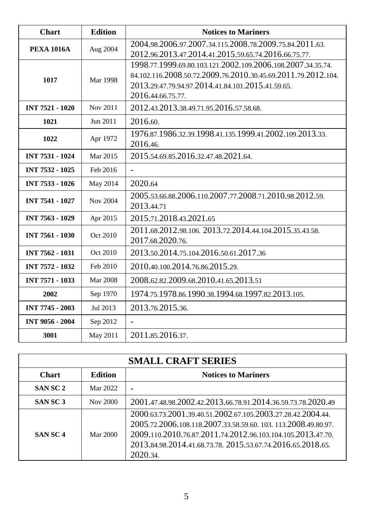| <b>Chart</b>           | <b>Edition</b>  | <b>Notices to Mariners</b>                                                                                                                                                                             |
|------------------------|-----------------|--------------------------------------------------------------------------------------------------------------------------------------------------------------------------------------------------------|
| <b>PEXA 1016A</b>      | Aug 2004        | 2004.98.2006.97.2007.34.115.2008.78.2009.75.84.2011.63.<br>2012.96.2013.47.2014.41.2015.59.65.74.2016.66.75.77.                                                                                        |
| 1017                   | <b>Mar 1998</b> | 1998.77.1999.69.80.103.121.2002.109.2006.108.2007.34.35.74.<br>84.102.116.2008.50.72.2009.76.2010.30.45.69.2011.79.2012.104.<br>2013.29.47.79.94.97.2014.41.84.101.2015.41.59.65.<br>2016.44.66.75.77. |
| <b>INT 7521 - 1020</b> | Nov 2011        | 2012.43.2013.38.49.71.95.2016.57.58.68.                                                                                                                                                                |
| 1021                   | Jun 2011        | 2016.60.                                                                                                                                                                                               |
| 1022                   | Apr 1972        | 1976.87.1986.32.39.1998.41.135.1999.41.2002.109.2013.33.<br>2016.46.                                                                                                                                   |
| <b>INT 7531 - 1024</b> | Mar 2015        | 2015.54.69.85.2016.32.47.48.2021.64.                                                                                                                                                                   |
| <b>INT 7532 - 1025</b> | Feb 2016        | ÷.                                                                                                                                                                                                     |
| <b>INT 7533 - 1026</b> | May 2014        | 2020.64                                                                                                                                                                                                |
| <b>INT 7541 - 1027</b> | Nov 2004        | 2005.53.66.88.2006.110.2007.77.2008.71.2010.98.2012.59.<br>2013.44.71                                                                                                                                  |
| <b>INT 7563 - 1029</b> | Apr 2015        | 2015.71.2018.43.2021.65                                                                                                                                                                                |
| <b>INT 7561 - 1030</b> | Oct 2010        | 2011.68.2012.98.106. 2013.72.2014.44.104.2015.35.43.58.<br>2017.68.2020.76.                                                                                                                            |
| <b>INT 7562 - 1031</b> | Oct 2010        | 2013.50.2014.75.104.2016.50.61.2017.36                                                                                                                                                                 |
| <b>INT 7572 - 1032</b> | Feb 2010        | 2010.40.100.2014.76.86.2015.29.                                                                                                                                                                        |
| <b>INT 7571 - 1033</b> | <b>Mar 2008</b> | 2008.62.82.2009.68.2010.41.65.2013.51                                                                                                                                                                  |
| 2002                   | Sep 1970        | 1974.75.1978.86.1990.38.1994.68.1997.82.2013.105.                                                                                                                                                      |
| <b>INT 7745 - 2003</b> | Jul 2013        | 2013.76.2015.36.                                                                                                                                                                                       |
| <b>INT 9056 - 2004</b> | Sep 2012        | $\blacksquare$                                                                                                                                                                                         |
| 3001                   | May 2011        | 2011.85.2016.37.                                                                                                                                                                                       |

| <b>SMALL CRAFT SERIES</b> |                |                                                                                                                                                                                                                                                                       |
|---------------------------|----------------|-----------------------------------------------------------------------------------------------------------------------------------------------------------------------------------------------------------------------------------------------------------------------|
| Chart                     | <b>Edition</b> | <b>Notices to Mariners</b>                                                                                                                                                                                                                                            |
| <b>SANSC2</b>             | Mar 2022       |                                                                                                                                                                                                                                                                       |
| <b>SANSC3</b>             | Nov 2000       | 2001.47.48.98.2002.42.2013.66.78.91.2014.36.59.73.78.2020.49                                                                                                                                                                                                          |
| SAN SC <sub>4</sub>       | Mar 2000       | 2000.63.73.2001.39.40.51.2002.67.105.2003.27.28.42.2004.44.<br>2005.72.2006.108.118.2007.33.58.59.60.103.113.2008.49.80.97.<br>2009.110.2010.76.87.2011.74.2012.96.103.104.105.2013.47.70.<br>2013.84.98.2014.41.68.73.78. 2015.53.67.74.2016.65.2018.65.<br>2020.34. |